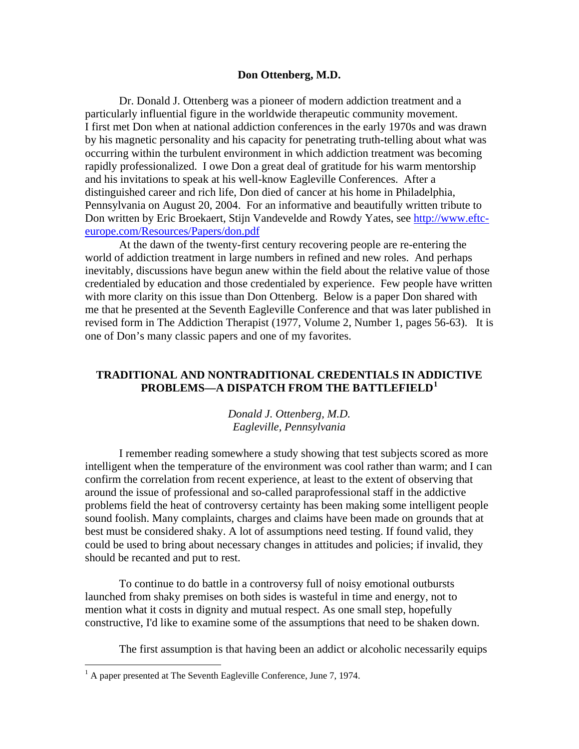## **Don Ottenberg, M.D.**

 Dr. Donald J. Ottenberg was a pioneer of modern addiction treatment and a particularly influential figure in the worldwide therapeutic community movement. I first met Don when at national addiction conferences in the early 1970s and was drawn by his magnetic personality and his capacity for penetrating truth-telling about what was occurring within the turbulent environment in which addiction treatment was becoming rapidly professionalized. I owe Don a great deal of gratitude for his warm mentorship and his invitations to speak at his well-know Eagleville Conferences. After a distinguished career and rich life, Don died of cancer at his home in Philadelphia, Pennsylvania on August 20, 2004. For an informative and beautifully written tribute to Don written by Eric Broekaert, Stijn Vandevelde and Rowdy Yates, see [http://www.eftc](http://www.eftc-europe.com/Resources/Papers/don.pdf)[europe.com/Resources/Papers/don.pdf](http://www.eftc-europe.com/Resources/Papers/don.pdf)

 At the dawn of the twenty-first century recovering people are re-entering the world of addiction treatment in large numbers in refined and new roles. And perhaps inevitably, discussions have begun anew within the field about the relative value of those credentialed by education and those credentialed by experience. Few people have written with more clarity on this issue than Don Ottenberg. Below is a paper Don shared with me that he presented at the Seventh Eagleville Conference and that was later published in revised form in The Addiction Therapist (1977, Volume 2, Number 1, pages 56-63). It is one of Don's many classic papers and one of my favorites.

## **TRADITIONAL AND NONTRADITIONAL CREDENTIALS IN ADDICTIVE PROBLEMS—A DISPATCH FROM THE BATTLEFIELD[1](#page-0-0)**

## *Donald J. Ottenberg, M.D. Eagleville, Pennsylvania*

 I remember reading somewhere a study showing that test subjects scored as more intelligent when the temperature of the environment was cool rather than warm; and I can confirm the correlation from recent experience, at least to the extent of observing that around the issue of professional and so-called paraprofessional staff in the addictive problems field the heat of controversy certainty has been making some intelligent people sound foolish. Many complaints, charges and claims have been made on grounds that at best must be considered shaky. A lot of assumptions need testing. If found valid, they could be used to bring about necessary changes in attitudes and policies; if invalid, they should be recanted and put to rest.

 To continue to do battle in a controversy full of noisy emotional outbursts launched from shaky premises on both sides is wasteful in time and energy, not to mention what it costs in dignity and mutual respect. As one small step, hopefully constructive, I'd like to examine some of the assumptions that need to be shaken down.

The first assumption is that having been an addict or alcoholic necessarily equips

<u>.</u>

<span id="page-0-0"></span><sup>&</sup>lt;sup>1</sup> A paper presented at The Seventh Eagleville Conference, June 7, 1974.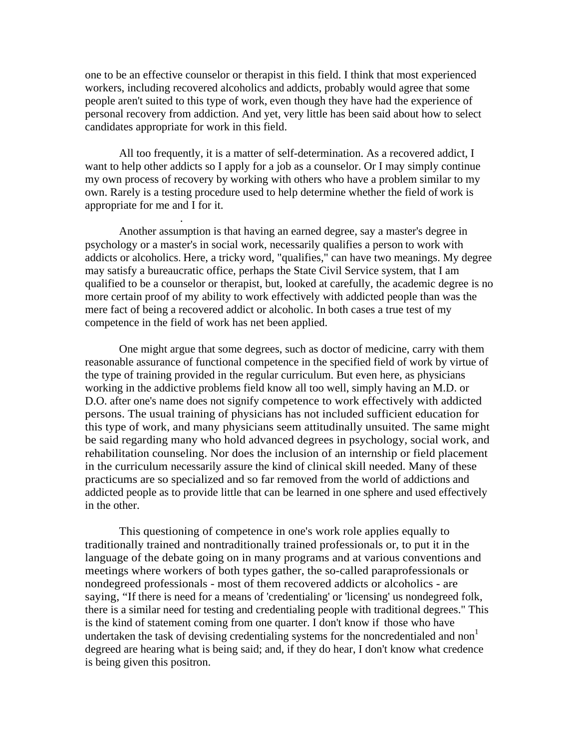one to be an effective counselor or therapist in this field. I think that most experienced workers, including recovered alcoholics and addicts, probably would agree that some people aren't suited to this type of work, even though they have had the experience of personal recovery from addiction. And yet, very little has been said about how to select candidates appropriate for work in this field.

 All too frequently, it is a matter of self-determination. As a recovered addict, I want to help other addicts so I apply for a job as a counselor. Or I may simply continue my own process of recovery by working with others who have a problem similar to my own. Rarely is a testing procedure used to help determine whether the field of work is appropriate for me and I for it.

.

 Another assumption is that having an earned degree, say a master's degree in psychology or a master's in social work, necessarily qualifies a person to work with addicts or alcoholics. Here, a tricky word, "qualifies," can have two meanings. My degree may satisfy a bureaucratic office, perhaps the State Civil Service system, that I am qualified to be a counselor or therapist, but, looked at carefully, the academic degree is no more certain proof of my ability to work effectively with addicted people than was the mere fact of being a recovered addict or alcoholic. In both cases a true test of my competence in the field of work has net been applied.

 One might argue that some degrees, such as doctor of medicine, carry with them reasonable assurance of functional competence in the specified field of work by virtue of the type of training provided in the regular curriculum. But even here, as physicians working in the addictive problems field know all too well, simply having an M.D. or D.O. after one's name does not signify competence to work effectively with addicted persons. The usual training of physicians has not included sufficient education for this type of work, and many physicians seem attitudinally unsuited. The same might be said regarding many who hold advanced degrees in psychology, social work, and rehabilitation counseling. Nor does the inclusion of an internship or field placement in the curriculum necessarily assure the kind of clinical skill needed. Many of these practicums are so specialized and so far removed from the world of addictions and addicted people as to provide little that can be learned in one sphere and used effectively in the other.

 This questioning of competence in one's work role applies equally to traditionally trained and nontraditionally trained professionals or, to put it in the language of the debate going on in many programs and at various conventions and meetings where workers of both types gather, the so-called paraprofessionals or nondegreed professionals - most of them recovered addicts or alcoholics - are saying, "If there is need for a means of 'credentialing' or 'licensing' us nondegreed folk, there is a similar need for testing and credentialing people with traditional degrees." This is the kind of statement coming from one quarter. I don't know if those who have undertaken the task of devising credentialing systems for the noncredentialed and non<sup>1</sup> degreed are hearing what is being said; and, if they do hear, I don't know what credence is being given this positron.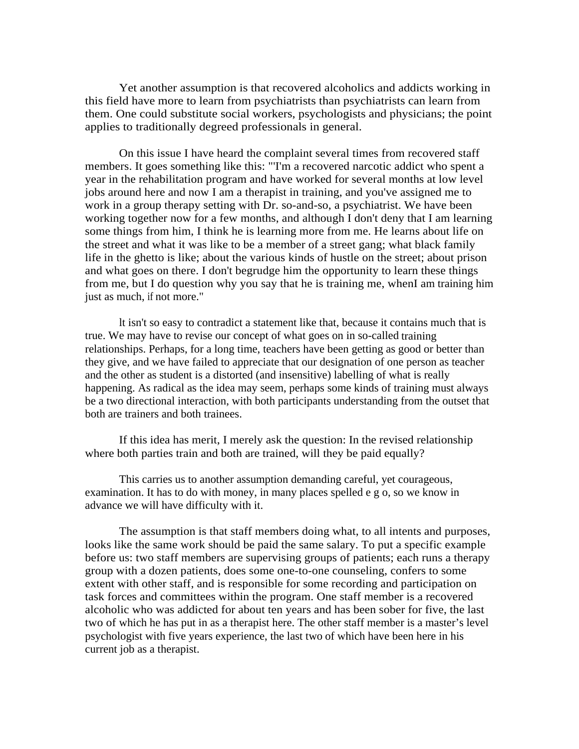Yet another assumption is that recovered alcoholics and addicts working in this field have more to learn from psychiatrists than psychiatrists can learn from them. One could substitute social workers, psychologists and physicians; the point applies to traditionally degreed professionals in general.

 On this issue I have heard the complaint several times from recovered staff members. It goes something like this: "'I'm a recovered narcotic addict who spent a year in the rehabilitation program and have worked for several months at low level jobs around here and now I am a therapist in training, and you've assigned me to work in a group therapy setting with Dr. so-and-so, a psychiatrist. We have been working together now for a few months, and although I don't deny that I am learning some things from him, I think he is learning more from me. He learns about life on the street and what it was like to be a member of a street gang; what black family life in the ghetto is like; about the various kinds of hustle on the street; about prison and what goes on there. I don't begrudge him the opportunity to learn these things from me, but I do question why you say that he is training me, whenI am training him just as much, if not more."

 lt isn't so easy to contradict a statement like that, because it contains much that is true. We may have to revise our concept of what goes on in so-called training relationships. Perhaps, for a long time, teachers have been getting as good or better than they give, and we have failed to appreciate that our designation of one person as teacher and the other as student is a distorted (and insensitive) labelling of what is really happening. As radical as the idea may seem, perhaps some kinds of training must always be a two directional interaction, with both participants understanding from the outset that both are trainers and both trainees.

 If this idea has merit, I merely ask the question: In the revised relationship where both parties train and both are trained, will they be paid equally?

 This carries us to another assumption demanding careful, yet courageous, examination. It has to do with money, in many places spelled e g o, so we know in advance we will have difficulty with it.

 The assumption is that staff members doing what, to all intents and purposes, looks like the same work should be paid the same salary. To put a specific example before us: two staff members are supervising groups of patients; each runs a therapy group with a dozen patients, does some one-to-one counseling, confers to some extent with other staff, and is responsible for some recording and participation on task forces and committees within the program. One staff member is a recovered alcoholic who was addicted for about ten years and has been sober for five, the last two of which he has put in as a therapist here. The other staff member is a master's level psychologist with five years experience, the last two of which have been here in his current job as a therapist.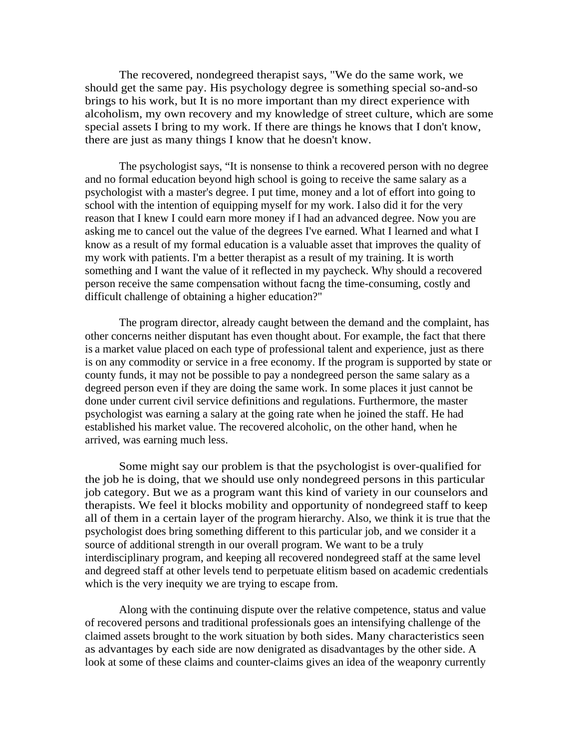The recovered, nondegreed therapist says, "We do the same work, we should get the same pay. His psychology degree is something special so-and-so brings to his work, but It is no more important than my direct experience with alcoholism, my own recovery and my knowledge of street culture, which are some special assets I bring to my work. If there are things he knows that I don't know, there are just as many things I know that he doesn't know.

 The psychologist says, "It is nonsense to think a recovered person with no degree and no formal education beyond high school is going to receive the same salary as a psychologist with a master's degree. I put time, money and a lot of effort into going to school with the intention of equipping myself for my work. I also did it for the very reason that I knew I could earn more money if I had an advanced degree. Now you are asking me to cancel out the value of the degrees I've earned. What I learned and what I know as a result of my formal education is a valuable asset that improves the quality of my work with patients. I'm a better therapist as a result of my training. It is worth something and I want the value of it reflected in my paycheck. Why should a recovered person receive the same compensation without facng the time-consuming, costly and difficult challenge of obtaining a higher education?"

 The program director, already caught between the demand and the complaint, has other concerns neither disputant has even thought about. For example, the fact that there is a market value placed on each type of professional talent and experience, just as there is on any commodity or service in a free economy. If the program is supported by state or county funds, it may not be possible to pay a nondegreed person the same salary as a degreed person even if they are doing the same work. In some places it just cannot be done under current civil service definitions and regulations. Furthermore, the master psychologist was earning a salary at the going rate when he joined the staff. He had established his market value. The recovered alcoholic, on the other hand, when he arrived, was earning much less.

 Some might say our problem is that the psychologist is over-qualified for the job he is doing, that we should use only nondegreed persons in this particular job category. But we as a program want this kind of variety in our counselors and therapists. We feel it blocks mobility and opportunity of nondegreed staff to keep all of them in a certain layer of the program hierarchy. Also, we think it is true that the psychologist does bring something different to this particular job, and we consider it a source of additional strength in our overall program. We want to be a truly interdisciplinary program, and keeping all recovered nondegreed staff at the same level and degreed staff at other levels tend to perpetuate elitism based on academic credentials which is the very inequity we are trying to escape from.

 Along with the continuing dispute over the relative competence, status and value of recovered persons and traditional professionals goes an intensifying challenge of the claimed assets brought to the work situation by both sides. Many characteristics seen as advantages by each side are now denigrated as disadvantages by the other side. A look at some of these claims and counter-claims gives an idea of the weaponry currently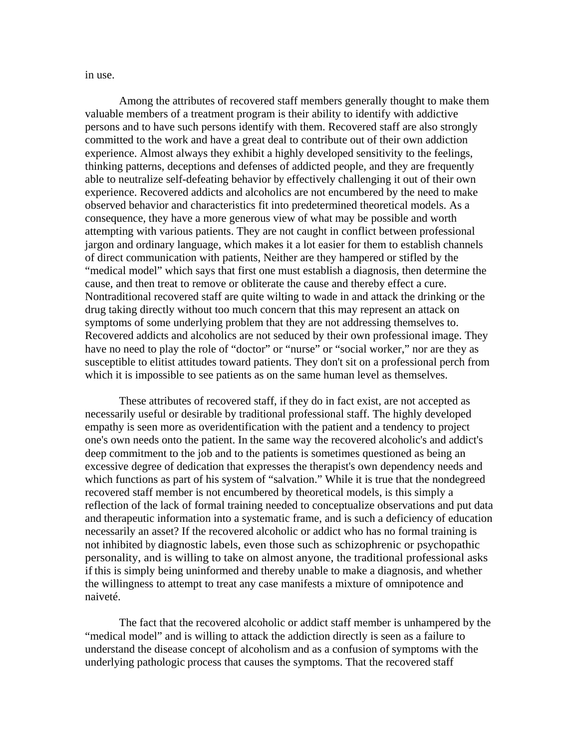in use.

 Among the attributes of recovered staff members generally thought to make them valuable members of a treatment program is their ability to identify with addictive persons and to have such persons identify with them. Recovered staff are also strongly committed to the work and have a great deal to contribute out of their own addiction experience. Almost always they exhibit a highly developed sensitivity to the feelings, thinking patterns, deceptions and defenses of addicted people, and they are frequently able to neutralize self-defeating behavior by effectively challenging it out of their own experience. Recovered addicts and alcoholics are not encumbered by the need to make observed behavior and characteristics fit into predetermined theoretical models. As a consequence, they have a more generous view of what may be possible and worth attempting with various patients. They are not caught in conflict between professional jargon and ordinary language, which makes it a lot easier for them to establish channels of direct communication with patients, Neither are they hampered or stifled by the "medical model" which says that first one must establish a diagnosis, then determine the cause, and then treat to remove or obliterate the cause and thereby effect a cure. Nontraditional recovered staff are quite wilting to wade in and attack the drinking or the drug taking directly without too much concern that this may represent an attack on symptoms of some underlying problem that they are not addressing themselves to. Recovered addicts and alcoholics are not seduced by their own professional image. They have no need to play the role of "doctor" or "nurse" or "social worker," nor are they as susceptible to elitist attitudes toward patients. They don't sit on a professional perch from which it is impossible to see patients as on the same human level as themselves.

 These attributes of recovered staff, if they do in fact exist, are not accepted as necessarily useful or desirable by traditional professional staff. The highly developed empathy is seen more as overidentification with the patient and a tendency to project one's own needs onto the patient. In the same way the recovered alcoholic's and addict's deep commitment to the job and to the patients is sometimes questioned as being an excessive degree of dedication that expresses the therapist's own dependency needs and which functions as part of his system of "salvation." While it is true that the nondegreed recovered staff member is not encumbered by theoretical models, is this simply a reflection of the lack of formal training needed to conceptualize observations and put data and therapeutic information into a systematic frame, and is such a deficiency of education necessarily an asset? If the recovered alcoholic or addict who has no formal training is not inhibited by diagnostic labels, even those such as schizophrenic or psychopathic personality, and is willing to take on almost anyone, the traditional professional asks if this is simply being uninformed and thereby unable to make a diagnosis, and whether the willingness to attempt to treat any case manifests a mixture of omnipotence and naiveté.

 The fact that the recovered alcoholic or addict staff member is unhampered by the "medical model" and is willing to attack the addiction directly is seen as a failure to understand the disease concept of alcoholism and as a confusion of symptoms with the underlying pathologic process that causes the symptoms. That the recovered staff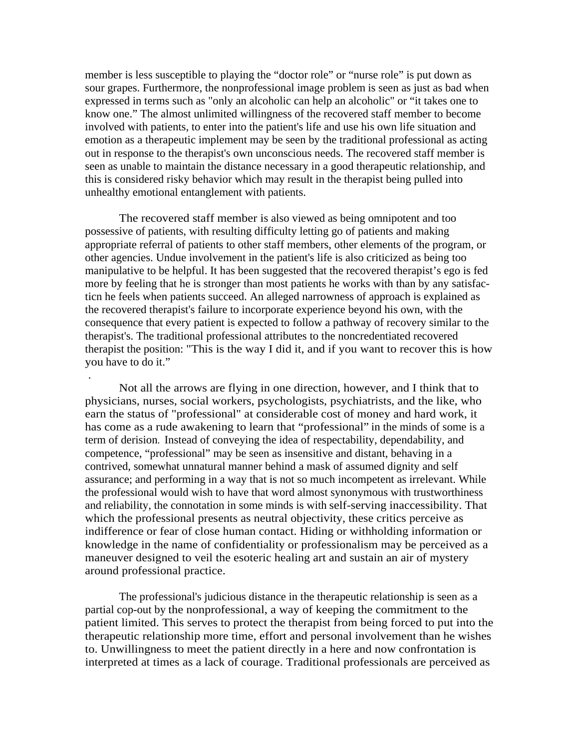member is less susceptible to playing the "doctor role" or "nurse role" is put down as sour grapes. Furthermore, the nonprofessional image problem is seen as just as bad when expressed in terms such as "only an alcoholic can help an alcoholic" or "it takes one to know one." The almost unlimited willingness of the recovered staff member to become involved with patients, to enter into the patient's life and use his own life situation and emotion as a therapeutic implement may be seen by the traditional professional as acting out in response to the therapist's own unconscious needs. The recovered staff member is seen as unable to maintain the distance necessary in a good therapeutic relationship, and this is considered risky behavior which may result in the therapist being pulled into unhealthy emotional entanglement with patients.

 The recovered staff member is also viewed as being omnipotent and too possessive of patients, with resulting difficulty letting go of patients and making appropriate referral of patients to other staff members, other elements of the program, or other agencies. Undue involvement in the patient's life is also criticized as being too manipulative to be helpful. It has been suggested that the recovered therapist's ego is fed more by feeling that he is stronger than most patients he works with than by any satisfacticn he feels when patients succeed. An alleged narrowness of approach is explained as the recovered therapist's failure to incorporate experience beyond his own, with the consequence that every patient is expected to follow a pathway of recovery similar to the therapist's. The traditional professional attributes to the noncredentiated recovered therapist the position: "This is the way I did it, and if you want to recover this is how you have to do it."

.

 Not all the arrows are flying in one direction, however, and I think that to physicians, nurses, social workers, psychologists, psychiatrists, and the like, who earn the status of "professional" at considerable cost of money and hard work, it has come as a rude awakening to learn that "professional" in the minds of some is a term of derision. Instead of conveying the idea of respectability, dependability, and competence, "professional" may be seen as insensitive and distant, behaving in a contrived, somewhat unnatural manner behind a mask of assumed dignity and self assurance; and performing in a way that is not so much incompetent as irrelevant. While the professional would wish to have that word almost synonymous with trustworthiness and reliability, the connotation in some minds is with self-serving inaccessibility. That which the professional presents as neutral objectivity, these critics perceive as indifference or fear of close human contact. Hiding or withholding information or knowledge in the name of confidentiality or professionalism may be perceived as a maneuver designed to veil the esoteric healing art and sustain an air of mystery around professional practice.

 The professional's judicious distance in the therapeutic relationship is seen as a partial cop-out by the nonprofessional, a way of keeping the commitment to the patient limited. This serves to protect the therapist from being forced to put into the therapeutic relationship more time, effort and personal involvement than he wishes to. Unwillingness to meet the patient directly in a here and now confrontation is interpreted at times as a lack of courage. Traditional professionals are perceived as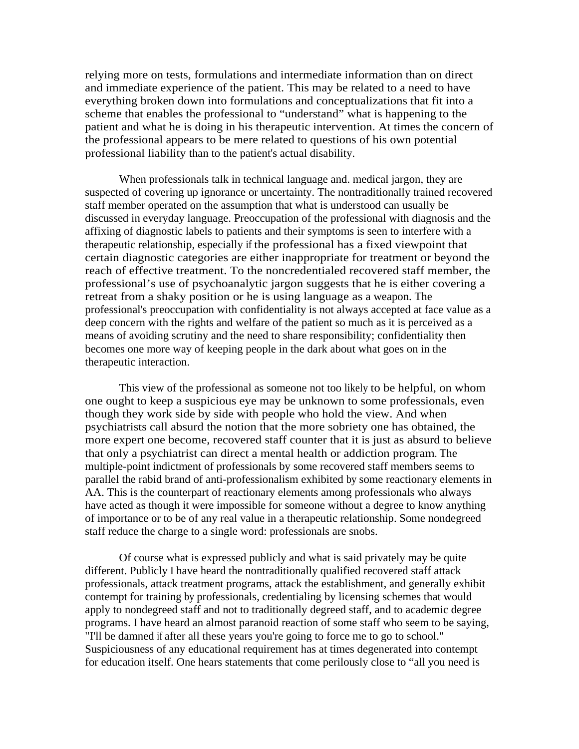relying more on tests, formulations and intermediate information than on direct and immediate experience of the patient. This may be related to a need to have everything broken down into formulations and conceptualizations that fit into a scheme that enables the professional to "understand" what is happening to the patient and what he is doing in his therapeutic intervention. At times the concern of the professional appears to be mere related to questions of his own potential professional liability than to the patient's actual disability.

 When professionals talk in technical language and. medical jargon, they are suspected of covering up ignorance or uncertainty. The nontraditionally trained recovered staff member operated on the assumption that what is understood can usually be discussed in everyday language. Preoccupation of the professional with diagnosis and the affixing of diagnostic labels to patients and their symptoms is seen to interfere with a therapeutic relationship, especially if the professional has a fixed viewpoint that certain diagnostic categories are either inappropriate for treatment or beyond the reach of effective treatment. To the noncredentialed recovered staff member, the professional's use of psychoanalytic jargon suggests that he is either covering a retreat from a shaky position or he is using language as a weapon. The professional's preoccupation with confidentiality is not always accepted at face value as a deep concern with the rights and welfare of the patient so much as it is perceived as a means of avoiding scrutiny and the need to share responsibility; confidentiality then becomes one more way of keeping people in the dark about what goes on in the therapeutic interaction.

 This view of the professional as someone not too likely to be helpful, on whom one ought to keep a suspicious eye may be unknown to some professionals, even though they work side by side with people who hold the view. And when psychiatrists call absurd the notion that the more sobriety one has obtained, the more expert one become, recovered staff counter that it is just as absurd to believe that only a psychiatrist can direct a mental health or addiction program. The multiple-point indictment of professionals by some recovered staff members seems to parallel the rabid brand of anti-professionalism exhibited by some reactionary elements in AA. This is the counterpart of reactionary elements among professionals who always have acted as though it were impossible for someone without a degree to know anything of importance or to be of any real value in a therapeutic relationship. Some nondegreed staff reduce the charge to a single word: professionals are snobs.

 Of course what is expressed publicly and what is said privately may be quite different. Publicly I have heard the nontraditionally qualified recovered staff attack professionals, attack treatment programs, attack the establishment, and generally exhibit contempt for training by professionals, credentialing by licensing schemes that would apply to nondegreed staff and not to traditionally degreed staff, and to academic degree programs. I have heard an almost paranoid reaction of some staff who seem to be saying, "I'll be damned if after all these years you're going to force me to go to school." Suspiciousness of any educational requirement has at times degenerated into contempt for education itself. One hears statements that come perilously close to "all you need is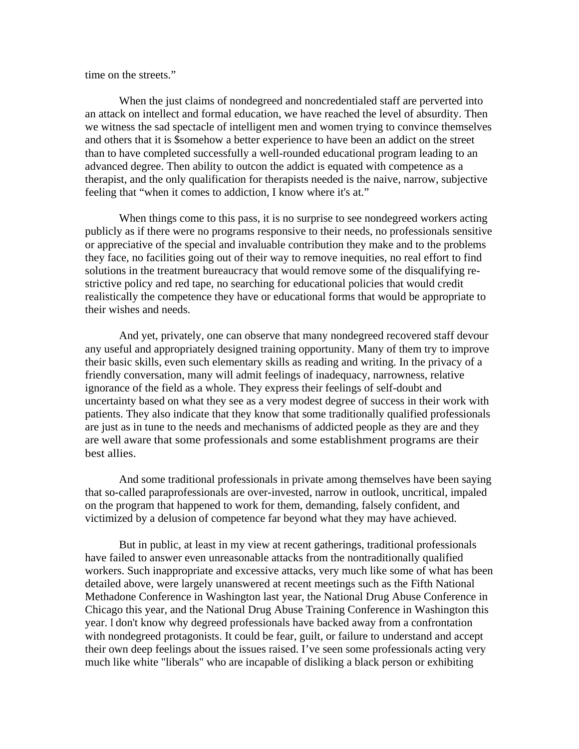time on the streets."

 When the just claims of nondegreed and noncredentialed staff are perverted into an attack on intellect and formal education, we have reached the level of absurdity. Then we witness the sad spectacle of intelligent men and women trying to convince themselves and others that it is \$somehow a better experience to have been an addict on the street than to have completed successfully a well-rounded educational program leading to an advanced degree. Then ability to outcon the addict is equated with competence as a therapist, and the only qualification for therapists needed is the naive, narrow, subjective feeling that "when it comes to addiction, I know where it's at."

 When things come to this pass, it is no surprise to see nondegreed workers acting publicly as if there were no programs responsive to their needs, no professionals sensitive or appreciative of the special and invaluable contribution they make and to the problems they face, no facilities going out of their way to remove inequities, no real effort to find solutions in the treatment bureaucracy that would remove some of the disqualifying restrictive policy and red tape, no searching for educational policies that would credit realistically the competence they have or educational forms that would be appropriate to their wishes and needs.

 And yet, privately, one can observe that many nondegreed recovered staff devour any useful and appropriately designed training opportunity. Many of them try to improve their basic skills, even such elementary skills as reading and writing. In the privacy of a friendly conversation, many will admit feelings of inadequacy, narrowness, relative ignorance of the field as a whole. They express their feelings of self-doubt and uncertainty based on what they see as a very modest degree of success in their work with patients. They also indicate that they know that some traditionally qualified professionals are just as in tune to the needs and mechanisms of addicted people as they are and they are well aware that some professionals and some establishment programs are their best allies.

 And some traditional professionals in private among themselves have been saying that so-called paraprofessionals are over-invested, narrow in outlook, uncritical, impaled on the program that happened to work for them, demanding, falsely confident, and victimized by a delusion of competence far beyond what they may have achieved.

 But in public, at least in my view at recent gatherings, traditional professionals have failed to answer even unreasonable attacks from the nontraditionally qualified workers. Such inappropriate and excessive attacks, very much like some of what has been detailed above, were largely unanswered at recent meetings such as the Fifth National Methadone Conference in Washington last year, the National Drug Abuse Conference in Chicago this year, and the National Drug Abuse Training Conference in Washington this year. I don't know why degreed professionals have backed away from a confrontation with nondegreed protagonists. It could be fear, guilt, or failure to understand and accept their own deep feelings about the issues raised. I've seen some professionals acting very much like white "liberals" who are incapable of disliking a black person or exhibiting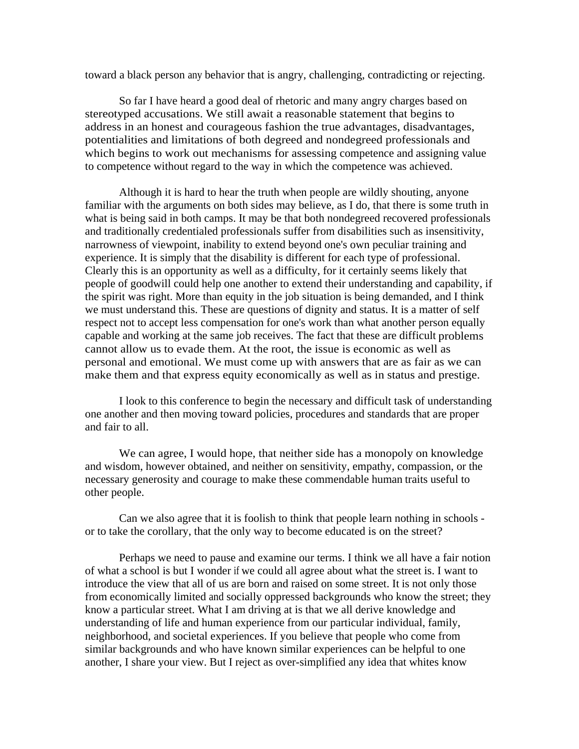toward a black person any behavior that is angry, challenging, contradicting or rejecting.

 So far I have heard a good deal of rhetoric and many angry charges based on stereotyped accusations. We still await a reasonable statement that begins to address in an honest and courageous fashion the true advantages, disadvantages, potentialities and limitations of both degreed and nondegreed professionals and which begins to work out mechanisms for assessing competence and assigning value to competence without regard to the way in which the competence was achieved.

 Although it is hard to hear the truth when people are wildly shouting, anyone familiar with the arguments on both sides may believe, as I do, that there is some truth in what is being said in both camps. It may be that both nondegreed recovered professionals and traditionally credentialed professionals suffer from disabilities such as insensitivity, narrowness of viewpoint, inability to extend beyond one's own peculiar training and experience. It is simply that the disability is different for each type of professional. Clearly this is an opportunity as well as a difficulty, for it certainly seems likely that people of goodwill could help one another to extend their understanding and capability, if the spirit was right. More than equity in the job situation is being demanded, and I think we must understand this. These are questions of dignity and status. It is a matter of self respect not to accept less compensation for one's work than what another person equally capable and working at the same job receives. The fact that these are difficult problems cannot allow us to evade them. At the root, the issue is economic as well as personal and emotional. We must come up with answers that are as fair as we can make them and that express equity economically as well as in status and prestige.

 I look to this conference to begin the necessary and difficult task of understanding one another and then moving toward policies, procedures and standards that are proper and fair to all.

 We can agree, I would hope, that neither side has a monopoly on knowledge and wisdom, however obtained, and neither on sensitivity, empathy, compassion, or the necessary generosity and courage to make these commendable human traits useful to other people.

 Can we also agree that it is foolish to think that people learn nothing in schools or to take the corollary, that the only way to become educated is on the street?

 Perhaps we need to pause and examine our terms. I think we all have a fair notion of what a school is but I wonder if we could all agree about what the street is. I want to introduce the view that all of us are born and raised on some street. It is not only those from economically limited and socially oppressed backgrounds who know the street; they know a particular street. What I am driving at is that we all derive knowledge and understanding of life and human experience from our particular individual, family, neighborhood, and societal experiences. If you believe that people who come from similar backgrounds and who have known similar experiences can be helpful to one another, I share your view. But I reject as over-simplified any idea that whites know